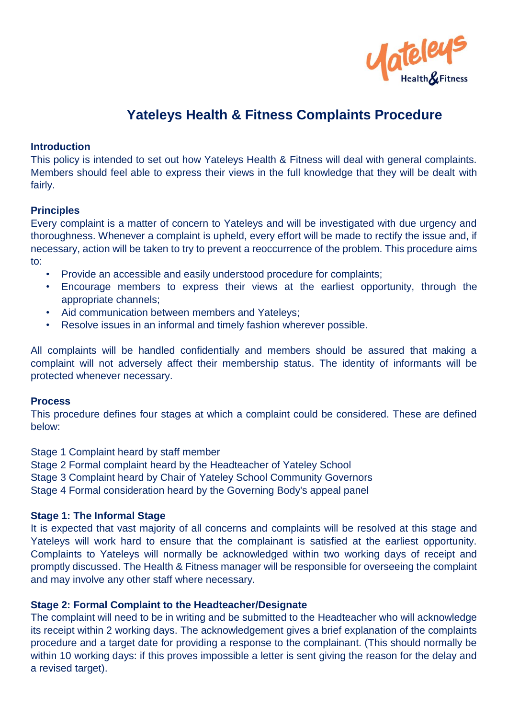

# **Yateleys Health & Fitness Complaints Procedure**

#### **Introduction**

This policy is intended to set out how Yateleys Health & Fitness will deal with general complaints. Members should feel able to express their views in the full knowledge that they will be dealt with fairly.

### **Principles**

Every complaint is a matter of concern to Yateleys and will be investigated with due urgency and thoroughness. Whenever a complaint is upheld, every effort will be made to rectify the issue and, if necessary, action will be taken to try to prevent a reoccurrence of the problem. This procedure aims to:

- Provide an accessible and easily understood procedure for complaints;
- Encourage members to express their views at the earliest opportunity, through the appropriate channels;
- Aid communication between members and Yateleys;
- Resolve issues in an informal and timely fashion wherever possible.

All complaints will be handled confidentially and members should be assured that making a complaint will not adversely affect their membership status. The identity of informants will be protected whenever necessary.

#### **Process**

This procedure defines four stages at which a complaint could be considered. These are defined below:

Stage 1 Complaint heard by staff member

Stage 2 Formal complaint heard by the Headteacher of Yateley School

Stage 3 Complaint heard by Chair of Yateley School Community Governors

Stage 4 Formal consideration heard by the Governing Body's appeal panel

# **Stage 1: The Informal Stage**

It is expected that vast majority of all concerns and complaints will be resolved at this stage and Yateleys will work hard to ensure that the complainant is satisfied at the earliest opportunity. Complaints to Yateleys will normally be acknowledged within two working days of receipt and promptly discussed. The Health & Fitness manager will be responsible for overseeing the complaint and may involve any other staff where necessary.

# **Stage 2: Formal Complaint to the Headteacher/Designate**

The complaint will need to be in writing and be submitted to the Headteacher who will acknowledge its receipt within 2 working days. The acknowledgement gives a brief explanation of the complaints procedure and a target date for providing a response to the complainant. (This should normally be within 10 working days: if this proves impossible a letter is sent giving the reason for the delay and a revised target).